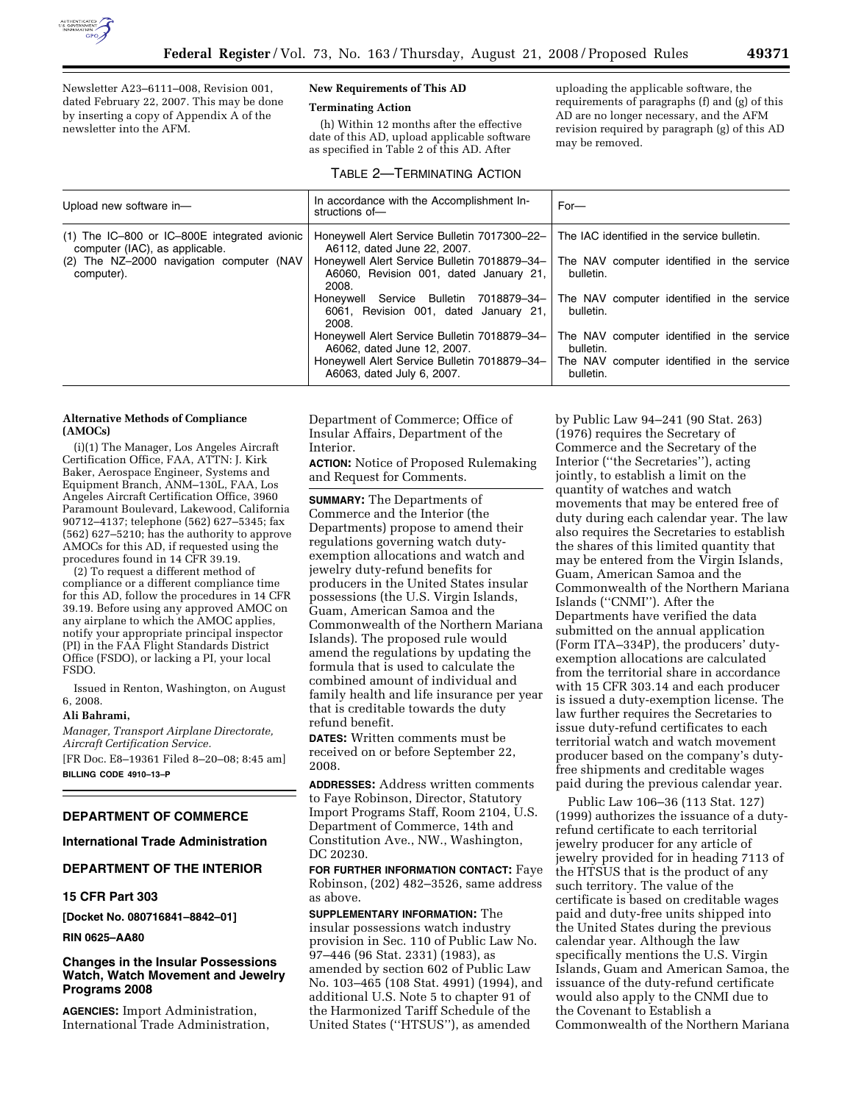

Newsletter A23–6111–008, Revision 001, dated February 22, 2007. This may be done by inserting a copy of Appendix A of the newsletter into the AFM.

# **New Requirements of This AD**

#### **Terminating Action**

(h) Within 12 months after the effective date of this AD, upload applicable software as specified in Table 2 of this AD. After

TABLE 2—TERMINATING ACTION

uploading the applicable software, the requirements of paragraphs (f) and (g) of this AD are no longer necessary, and the AFM revision required by paragraph (g) of this AD may be removed.

| Upload new software in-                                                                                                                    | In accordance with the Accomplishment In-<br>structions of-                                                                                                           | $For-$                                                                                                             |
|--------------------------------------------------------------------------------------------------------------------------------------------|-----------------------------------------------------------------------------------------------------------------------------------------------------------------------|--------------------------------------------------------------------------------------------------------------------|
| $(1)$ The IC-800 or IC-800E integrated avionic<br>computer (IAC), as applicable.<br>(2) The NZ-2000 navigation computer (NAV<br>computer). | Honeywell Alert Service Bulletin 7017300-22-<br>A6112, dated June 22, 2007.<br>Honeywell Alert Service Bulletin 7018879-34-<br>A6060, Revision 001, dated January 21, | The IAC identified in the service bulletin.<br>The NAV computer identified in the service<br>bulletin.             |
|                                                                                                                                            | 2008.<br>Honeywell Service Bulletin 7018879-34-<br>6061. Revision 001, dated January 21,<br>2008.                                                                     | The NAV computer identified in the service<br>bulletin.                                                            |
|                                                                                                                                            | Honeywell Alert Service Bulletin 7018879-34-<br>A6062, dated June 12, 2007.<br>Honeywell Alert Service Bulletin 7018879-34-<br>A6063, dated July 6, 2007.             | The NAV computer identified in the service<br>bulletin.<br>The NAV computer identified in the service<br>bulletin. |

### **Alternative Methods of Compliance (AMOCs)**

(i)(1) The Manager, Los Angeles Aircraft Certification Office, FAA, ATTN: J. Kirk Baker, Aerospace Engineer, Systems and Equipment Branch, ANM–130L, FAA, Los Angeles Aircraft Certification Office, 3960 Paramount Boulevard, Lakewood, California 90712–4137; telephone (562) 627–5345; fax (562) 627–5210; has the authority to approve AMOCs for this AD, if requested using the procedures found in 14 CFR 39.19.

(2) To request a different method of compliance or a different compliance time for this AD, follow the procedures in 14 CFR 39.19. Before using any approved AMOC on any airplane to which the AMOC applies, notify your appropriate principal inspector (PI) in the FAA Flight Standards District Office (FSDO), or lacking a PI, your local FSDO.

Issued in Renton, Washington, on August 6, 2008.

#### **Ali Bahrami,**

*Manager, Transport Airplane Directorate, Aircraft Certification Service.*  [FR Doc. E8–19361 Filed 8–20–08; 8:45 am]

**BILLING CODE 4910–13–P** 

### **DEPARTMENT OF COMMERCE**

**International Trade Administration** 

### **DEPARTMENT OF THE INTERIOR**

## **15 CFR Part 303**

**[Docket No. 080716841–8842–01]** 

**RIN 0625–AA80** 

### **Changes in the Insular Possessions Watch, Watch Movement and Jewelry Programs 2008**

**AGENCIES:** Import Administration, International Trade Administration, Department of Commerce; Office of Insular Affairs, Department of the Interior.

**ACTION:** Notice of Proposed Rulemaking and Request for Comments.

**SUMMARY:** The Departments of Commerce and the Interior (the Departments) propose to amend their regulations governing watch dutyexemption allocations and watch and jewelry duty-refund benefits for producers in the United States insular possessions (the U.S. Virgin Islands, Guam, American Samoa and the Commonwealth of the Northern Mariana Islands). The proposed rule would amend the regulations by updating the formula that is used to calculate the combined amount of individual and family health and life insurance per year that is creditable towards the duty refund benefit.

**DATES:** Written comments must be received on or before September 22, 2008.

**ADDRESSES:** Address written comments to Faye Robinson, Director, Statutory Import Programs Staff, Room 2104, U.S. Department of Commerce, 14th and Constitution Ave., NW., Washington, DC 20230.

**FOR FURTHER INFORMATION CONTACT:** Faye Robinson, (202) 482–3526, same address as above.

**SUPPLEMENTARY INFORMATION:** The insular possessions watch industry provision in Sec. 110 of Public Law No. 97–446 (96 Stat. 2331) (1983), as amended by section 602 of Public Law No. 103–465 (108 Stat. 4991) (1994), and additional U.S. Note 5 to chapter 91 of the Harmonized Tariff Schedule of the United States (''HTSUS''), as amended

by Public Law 94–241 (90 Stat. 263) (1976) requires the Secretary of Commerce and the Secretary of the Interior (''the Secretaries''), acting jointly, to establish a limit on the quantity of watches and watch movements that may be entered free of duty during each calendar year. The law also requires the Secretaries to establish the shares of this limited quantity that may be entered from the Virgin Islands, Guam, American Samoa and the Commonwealth of the Northern Mariana Islands (''CNMI''). After the Departments have verified the data submitted on the annual application (Form ITA–334P), the producers' dutyexemption allocations are calculated from the territorial share in accordance with 15 CFR 303.14 and each producer is issued a duty-exemption license. The law further requires the Secretaries to issue duty-refund certificates to each territorial watch and watch movement producer based on the company's dutyfree shipments and creditable wages paid during the previous calendar year.

Public Law 106–36 (113 Stat. 127) (1999) authorizes the issuance of a dutyrefund certificate to each territorial jewelry producer for any article of jewelry provided for in heading 7113 of the HTSUS that is the product of any such territory. The value of the certificate is based on creditable wages paid and duty-free units shipped into the United States during the previous calendar year. Although the law specifically mentions the U.S. Virgin Islands, Guam and American Samoa, the issuance of the duty-refund certificate would also apply to the CNMI due to the Covenant to Establish a Commonwealth of the Northern Mariana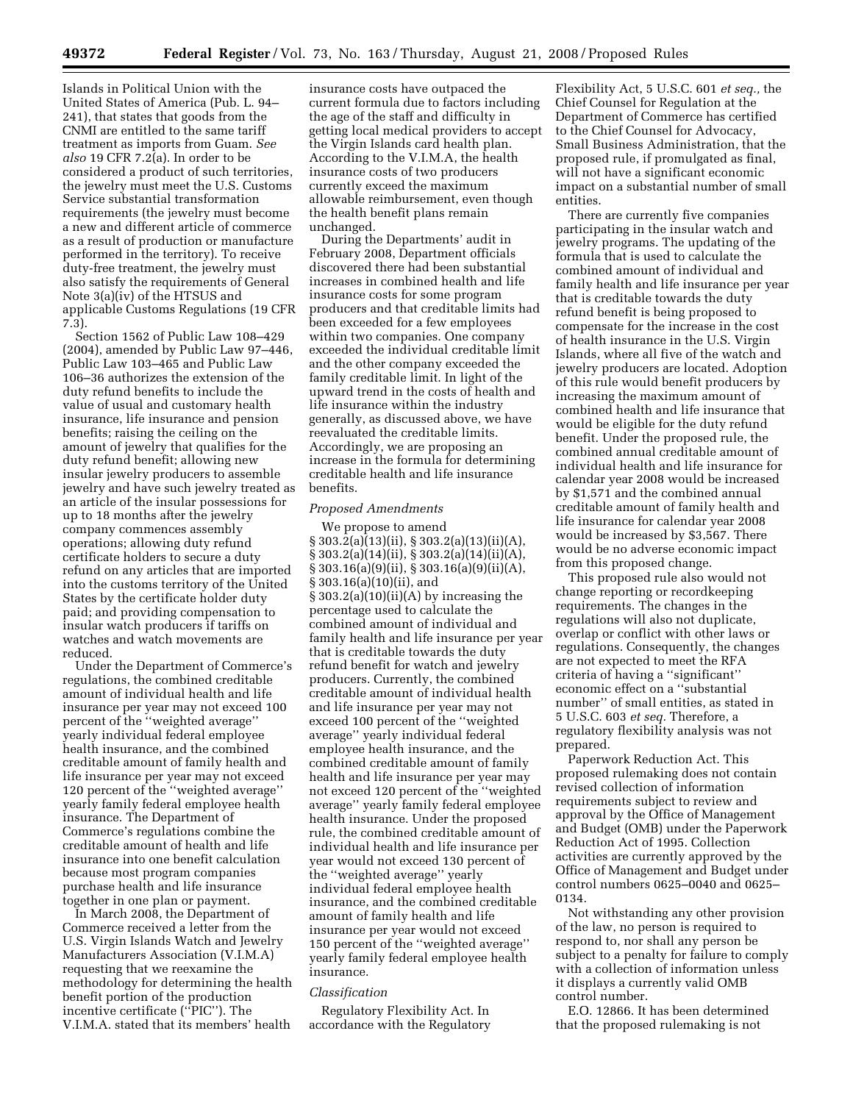Islands in Political Union with the United States of America (Pub. L. 94– 241), that states that goods from the CNMI are entitled to the same tariff treatment as imports from Guam. *See also* 19 CFR 7.2(a). In order to be considered a product of such territories, the jewelry must meet the U.S. Customs Service substantial transformation requirements (the jewelry must become a new and different article of commerce as a result of production or manufacture performed in the territory). To receive duty-free treatment, the jewelry must also satisfy the requirements of General Note 3(a)(iv) of the HTSUS and applicable Customs Regulations (19 CFR 7.3).

Section 1562 of Public Law 108–429 (2004), amended by Public Law 97–446, Public Law 103–465 and Public Law 106–36 authorizes the extension of the duty refund benefits to include the value of usual and customary health insurance, life insurance and pension benefits; raising the ceiling on the amount of jewelry that qualifies for the duty refund benefit; allowing new insular jewelry producers to assemble jewelry and have such jewelry treated as an article of the insular possessions for up to 18 months after the jewelry company commences assembly operations; allowing duty refund certificate holders to secure a duty refund on any articles that are imported into the customs territory of the United States by the certificate holder duty paid; and providing compensation to insular watch producers if tariffs on watches and watch movements are reduced.

Under the Department of Commerce's regulations, the combined creditable amount of individual health and life insurance per year may not exceed 100 percent of the ''weighted average'' yearly individual federal employee health insurance, and the combined creditable amount of family health and life insurance per year may not exceed 120 percent of the ''weighted average'' yearly family federal employee health insurance. The Department of Commerce's regulations combine the creditable amount of health and life insurance into one benefit calculation because most program companies purchase health and life insurance together in one plan or payment.

In March 2008, the Department of Commerce received a letter from the U.S. Virgin Islands Watch and Jewelry Manufacturers Association (V.I.M.A) requesting that we reexamine the methodology for determining the health benefit portion of the production incentive certificate (''PIC''). The V.I.M.A. stated that its members' health

insurance costs have outpaced the current formula due to factors including the age of the staff and difficulty in getting local medical providers to accept the Virgin Islands card health plan. According to the V.I.M.A, the health insurance costs of two producers currently exceed the maximum allowable reimbursement, even though the health benefit plans remain unchanged.

During the Departments' audit in February 2008, Department officials discovered there had been substantial increases in combined health and life insurance costs for some program producers and that creditable limits had been exceeded for a few employees within two companies. One company exceeded the individual creditable limit and the other company exceeded the family creditable limit. In light of the upward trend in the costs of health and life insurance within the industry generally, as discussed above, we have reevaluated the creditable limits. Accordingly, we are proposing an increase in the formula for determining creditable health and life insurance benefits.

#### *Proposed Amendments*

We propose to amend § 303.2(a)(13)(ii), § 303.2(a)(13)(ii)(A), § 303.2(a)(14)(ii), § 303.2(a)(14)(ii)(A), § 303.16(a)(9)(ii), § 303.16(a)(9)(ii)(A), § 303.16(a)(10)(ii), and § 303.2(a)(10)(ii)(A) by increasing the percentage used to calculate the combined amount of individual and family health and life insurance per year that is creditable towards the duty refund benefit for watch and jewelry producers. Currently, the combined creditable amount of individual health and life insurance per year may not exceed 100 percent of the ''weighted average'' yearly individual federal employee health insurance, and the combined creditable amount of family health and life insurance per year may not exceed 120 percent of the ''weighted average'' yearly family federal employee health insurance. Under the proposed rule, the combined creditable amount of individual health and life insurance per year would not exceed 130 percent of the ''weighted average'' yearly individual federal employee health insurance, and the combined creditable amount of family health and life insurance per year would not exceed 150 percent of the ''weighted average'' yearly family federal employee health insurance.

### *Classification*

Regulatory Flexibility Act. In accordance with the Regulatory

Flexibility Act, 5 U.S.C. 601 *et seq.,* the Chief Counsel for Regulation at the Department of Commerce has certified to the Chief Counsel for Advocacy, Small Business Administration, that the proposed rule, if promulgated as final, will not have a significant economic impact on a substantial number of small entities.

There are currently five companies participating in the insular watch and jewelry programs. The updating of the formula that is used to calculate the combined amount of individual and family health and life insurance per year that is creditable towards the duty refund benefit is being proposed to compensate for the increase in the cost of health insurance in the U.S. Virgin Islands, where all five of the watch and jewelry producers are located. Adoption of this rule would benefit producers by increasing the maximum amount of combined health and life insurance that would be eligible for the duty refund benefit. Under the proposed rule, the combined annual creditable amount of individual health and life insurance for calendar year 2008 would be increased by \$1,571 and the combined annual creditable amount of family health and life insurance for calendar year 2008 would be increased by \$3,567. There would be no adverse economic impact from this proposed change.

This proposed rule also would not change reporting or recordkeeping requirements. The changes in the regulations will also not duplicate, overlap or conflict with other laws or regulations. Consequently, the changes are not expected to meet the RFA criteria of having a ''significant'' economic effect on a ''substantial number'' of small entities, as stated in 5 U.S.C. 603 *et seq.* Therefore, a regulatory flexibility analysis was not prepared.

Paperwork Reduction Act. This proposed rulemaking does not contain revised collection of information requirements subject to review and approval by the Office of Management and Budget (OMB) under the Paperwork Reduction Act of 1995. Collection activities are currently approved by the Office of Management and Budget under control numbers 0625–0040 and 0625– 0134.

Not withstanding any other provision of the law, no person is required to respond to, nor shall any person be subject to a penalty for failure to comply with a collection of information unless it displays a currently valid OMB control number.

E.O. 12866. It has been determined that the proposed rulemaking is not